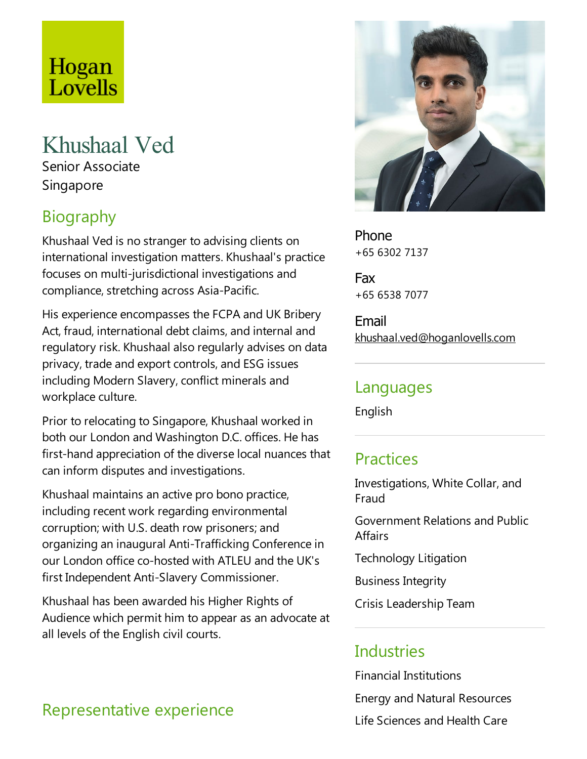# Hogan Lovells

# Khushaal Ved

Senior Associate Singapore

# Biography

Khushaal Ved is no stranger to advising clients on international investigation matters. Khushaal's practice focuses on multi-jurisdictional investigations and compliance, stretching across Asia-Pacific.

His experience encompasses the FCPA and UK Bribery Act, fraud, international debt claims, and internal and regulatory risk. Khushaal also regularly advises on data privacy, trade and export controls, and ESG issues including Modern Slavery, conflict minerals and workplace culture.

Prior to relocating to Singapore, Khushaal worked in both our London and Washington D.C. offices. He has first-hand appreciation of the diverselocal nuances that can inform disputes and investigations.

Khushaal maintains an active pro bono practice, including recent work regarding environmental corruption; with U.S. death row prisoners; and organizing an inaugural Anti-Trafficking Conference in our London office co-hosted with ATLEU and the UK's first Independent Anti-Slavery Commissioner.

Khushaal has been awarded his Higher Rights of Audience which permit him to appear as an advocate at all levels of the English civil courts.



Phone +65 6302 7137

Fax +65 6538 7077

Email khushaal.ved@hoganlovells.com

#### Languages

English

#### **Practices**

Investigations, White Collar, and Fraud

Government Relations and Public **Affairs** 

Technology Litigation

Business Integrity

Crisis Leadership Team

#### Industries

Financial Institutions Energy and Natural Resources Life Sciences and Health Care

#### Representative experience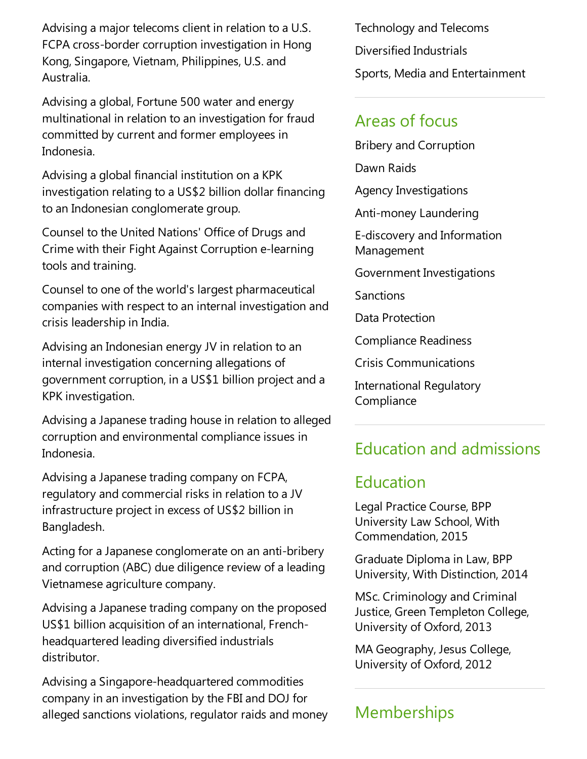Advising a major telecoms client in relation to a U.S. FCPA cross-border corruption investigation in Hong Kong, Singapore, Vietnam, Philippines, U.S.and Australia.

Advising a global, Fortune 500 water and energy multinational in relation to an investigation for fraud committed by current and former employees in Indonesia.

Advising a global financial institution on a KPK investigation relating to a US\$2 billion dollar financing to an Indonesian conglomerate group.

Counsel to the United Nations' Office of Drugs and Crime with their Fight Against Corruption e-learning tools and training.

Counsel to one of the world's largest pharmaceutical companies with respect to an internal investigation and crisis leadership in India.

Advising an Indonesian energy JV in relation to an internal investigation concerning allegations of government corruption, in a US\$1 billion project and a KPK investigation.

Advising a Japanese trading house in relation to alleged corruption and environmental compliance issues in Indonesia.

Advising a Japanese trading company on FCPA, regulatory and commercial risks in relation to aJV infrastructure project in excess of US\$2 billion in Bangladesh.

Acting for a Japanese conglomerate on an anti-bribery and corruption (ABC) due diligence review of a leading Vietnamese agriculture company.

Advising a Japanese trading company on the proposed US\$1 billion acquisition of an international, Frenchheadquartered leading diversified industrials distributor.

Advising a Singapore-headquartered commodities company in an investigation by the FBI and DOJ for alleged sanctions violations, regulator raids and money Technology and Telecoms Diversified Industrials Sports, Media and Entertainment

#### Areas of focus

Bribery and Corruption

Dawn Raids

Agency Investigations

Anti-money Laundering

E-discovery and Information Management

Government Investigations

Sanctions

Data Protection

Compliance Readiness

Crisis Communications

International Regulatory **Compliance** 

## Education and admissions

#### Education

Legal Practice Course, BPP University Law School, With Commendation, 2015

Graduate Diplomain Law, BPP University, With Distinction, 2014

MSc. Criminology and Criminal Justice, Green Templeton College, University of Oxford, 2013

MA Geography, Jesus College, University of Oxford, 2012

## **Memberships**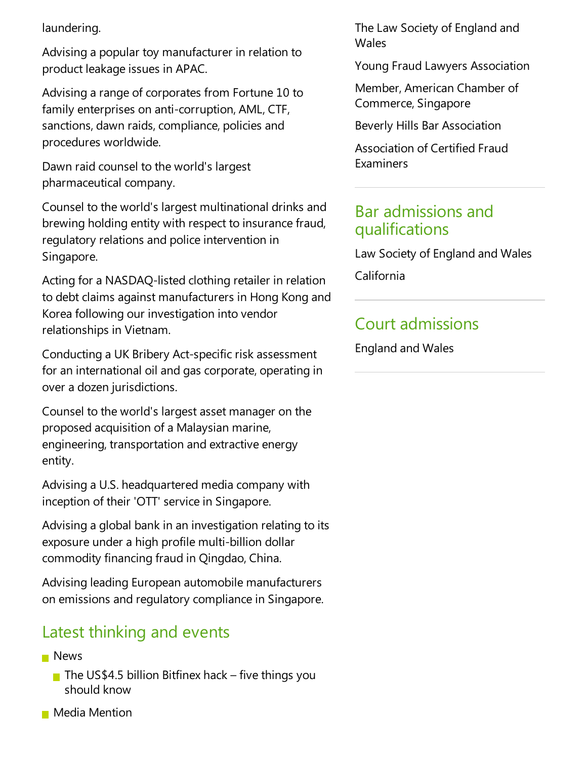laundering.

Advising a popular toy manufacturer in relation to product leakage issues in APAC.

Advising a range of corporates from Fortune 10 to family enterprises on anti-corruption, AML, CTF, sanctions, dawn raids, compliance, policies and procedures worldwide.

Dawn raid counsel to the world's largest pharmaceutical company.

Counsel to the world's largest multinational drinks and brewing holding entity with respect to insurance fraud, regulatory relations and police intervention in Singapore.

Acting for a NASDAQ-listed clothing retailer in relation to debt claims against manufacturers in Hong Kong and Korea following our investigation into vendor relationships in Vietnam.

Conducting a UK Bribery Act-specific risk assessment for an international oil and gas corporate, operating in over a dozen jurisdictions.

Counsel to the world's largest asset manager on the proposed acquisition of a Malaysian marine, engineering, transportation and extractive energy entity.

Advising a U.S. headquartered media company with inception of their 'OTT' service in Singapore.

Advising a global bank in an investigation relating to its exposure under a high profile multi-billion dollar commodity financing fraud in Qingdao, China.

Advising leading European automobile manufacturers on emissions and regulatory compliance in Singapore.

#### Latest thinking and events

#### **News**

- The US\$4.5 billion Bitfinex hack five things you should know
- **Media Mention**

The Law Society of England and **Wales** 

Young Fraud Lawyers Association

Member, American Chamber of Commerce, Singapore

Beverly Hills Bar Association

Association of Certified Fraud **Examiners** 

#### Bar admissions and qualifications

Law Society of England and Wales

California

## Court admissions

England and Wales